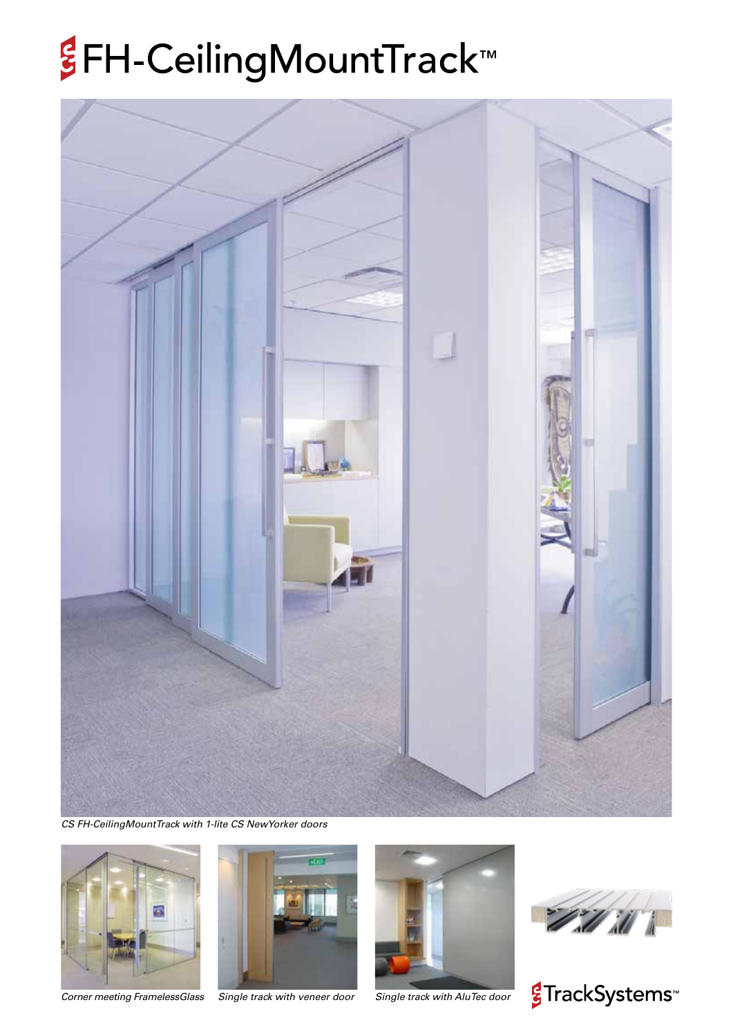## *§***FH-CeilingMountTrack™**



*CS FH-CeilingMountTrack with 1-lite CS NewYorker doors*



*Corner meeting FramelessGlass Single track with veneer door*





*Single track with AluTec door*



<mark>€</mark>TrackSystems<sup>™</sup>